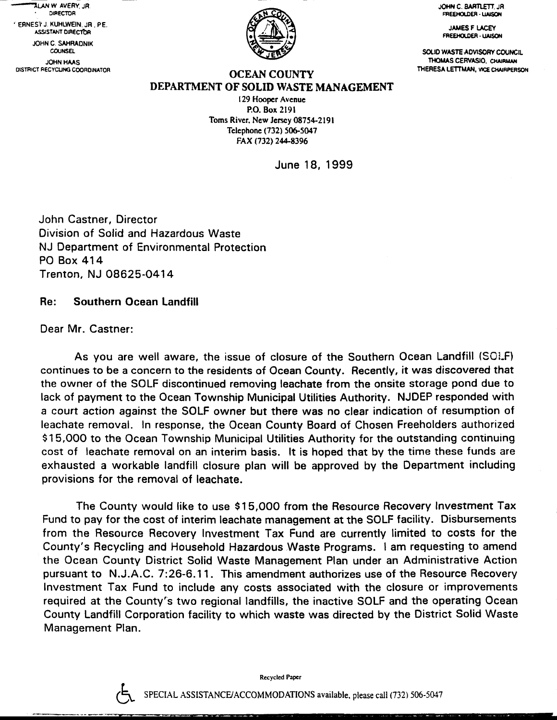**ALAN W AVERY JR.** . OIF€CTOR ' ERNES1 J. XUHTW€IN. JR . PE.

JOHN C. SAHRADNIK ASSISTANT DIRECTOR

**COUNSEL** JOHN HMS DISTRICT RECYCLING COORDINATOR



JOHN C. BARTLETT, JR FREEHOLDER - LIAISON

> **JAMES F LACEY** FREEHOLDER - LIAISON

SOLID WASTE ADVISORY COUNCIL THOMAS CERVASIO, CHAIRMAN<br>THERESA LETTMAN, VICE CHAIRPERSON

## **OCEAN COUNTY** DEPARTMENT OF SOLID WASTE MANAGEMENT

129 Hoopcr Avcnue P.O. Box 219l Toms River, New Jersey 08754-2191 Telephone (732) 506-5047 FAX (732) 244-8396

June 18, 1999

John Castner, Director Division of Solid and Hazardous Waste NJ Department of Environmental Protection PO Box 414 Trenton, NJ 08625-O414

## Re: Southern Ocean Landfill

Dear Mr. Castner:

As you are well aware, the issue of closure of the Southern Ocean Landfill (SOI-F) continues to be a concern to the residents of Ocean County. Recently, it was discovered that the owner of the SOLF discontinued removing leachate from the onsite storage pond due to lack of payment to the Ocean Township Municipal Utilities Authority. NJDEP responded with a court action against the SOLF owner but there was no clear indication of resumption of leachate removal. In response, the Ocean County Board of Chosen Freeholders authorized S15,OOO to the Ocean Township Municipal Utilities Authority forthe outstanding continuing cost of leachate removal on an interim basis. lt is hoped that by the time these funds are exhausted a workable landfill closure plan will be approved by the Department including provisions for the removal of leachate.

The County would like to use \$15,OOO from the Resource Recovery Investment Tax Fund to pay for the cost of interim leachate management at the SOLF facility. Disbursements from the Resource Recovery Investment Tax Fund are currently limited to costs for the County's Recycling and Household Hazardous Waste Programs. I am requesting to amend the Ocean County District Solid Waste Management Plan under an Administrative Action pursuant to N.J.A.C. 7:26-6.11. This amendment authorizes use of the Resource Recovery lnvestment Tax Fund to include any costs associated with the closure or improvements required at the County's two regional landfills, the inactive SOLF and the operating Ocean County Landfill Corporation facility to which waste was directed by the District Solid Waste Management Plan.



Rccycled Papcr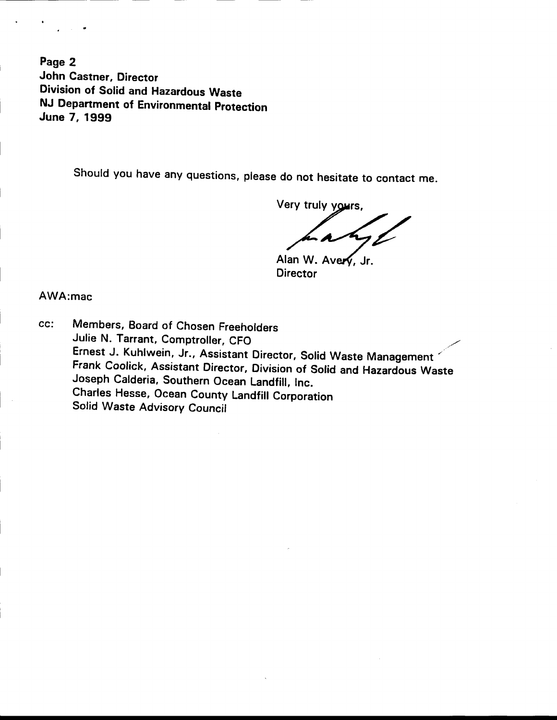Page 2 John Castner, Director Division of Solid and Hazardous Waste NJ Department of Environmental protection June 7, 19gg

should you have any questions, please do not hesitate to contact me.

Very truly yours,

Alan W. Avery, Jr. **Director** 

AWA:mac

cc: Members, Board of Chosen Freeholders Julie N. Tarrant, Comptroller, CFO Ernest J. Kuhlwein, Jr., Assistant Director, solid waste Management , Frank Coolick, Assistant Director, Division of Solid and Hazardous Waste Joseph Calderia, Southern Ocean Landfill, lnc. charles Hesse, ocean county Landfiil corporation Solid Waste Advisory Council